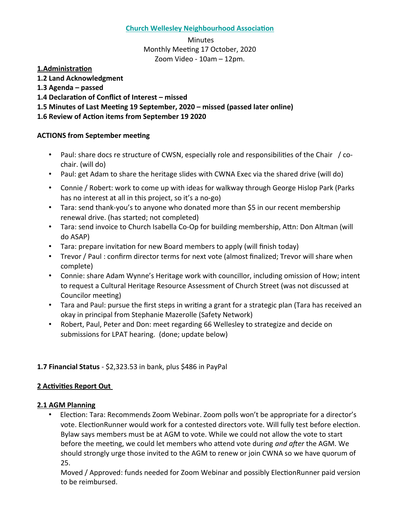#### **Church Wellesley Neighbourhood Associaton**

 Minutes Monthly Meeting 17 October, 2020 Zoom Video - 10am – 12pm.

**1.Administraton**

- **1.2 Land Acknowledgment**
- **1.3 Agenda passed**

**1.4 Declaraton of Confict of Interest – missed** 

**1.5 Minutes of Last Meetng 19 September, 2020 – missed (passed later online)**

### **1.6 Review of Acton items from September 19 2020**

#### **ACTIONS from September meeting**

- Paul: share docs re structure of CWSN, especially role and responsibilities of the Chair / cochair. (will do)
- Paul: get Adam to share the heritage slides with CWNA Exec via the shared drive (will do)
- Connie / Robert: work to come up with ideas for walkway through George Hislop Park (Parks has no interest at all in this project, so it's a no-go)
- Tara: send thank-you's to anyone who donated more than \$5 in our recent membership renewal drive. (has started; not completed)
- Tara: send invoice to Church Isabella Co-Op for building membership, Attn: Don Altman (will do ASAP)
- Tara: prepare invitation for new Board members to apply (will finish today)
- Trevor / Paul : confrm director terms for next vote (almost fnalized; Trevor will share when complete)
- Connie: share Adam Wynne's Heritage work with councillor, including omission of How; intent to request a Cultural Heritage Resource Assessment of Church Street (was not discussed at Councilor meeting)
- Tara and Paul: pursue the first steps in writing a grant for a strategic plan (Tara has received an okay in principal from Stephanie Mazerolle (Safety Network)
- Robert, Paul, Peter and Don: meet regarding 66 Wellesley to strategize and decide on submissions for LPAT hearing. (done; update below)

# **1.7 Financial Status** - \$2,323.53 in bank, plus \$486 in PayPal

# **2 Activities Report Out**

#### **2.1 AGM Planning**

• Election: Tara: Recommends Zoom Webinar. Zoom polls won't be appropriate for a director's vote. ElectionRunner would work for a contested directors vote. Will fully test before election. Bylaw says members must be at AGM to vote. While we could not allow the vote to start before the meetng, we could let members who atend vote during *and afer* the AGM. We should strongly urge those invited to the AGM to renew or join CWNA so we have quorum of 25.

Moved / Approved: funds needed for Zoom Webinar and possibly ElectionRunner paid version to be reimbursed.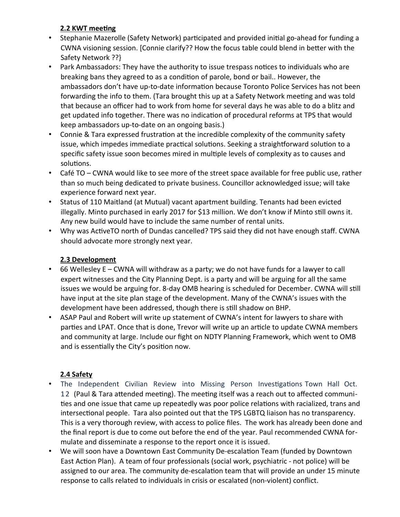# **2.2 KWT meeting**

- Stephanie Mazerolle (Safety Network) participated and provided initial go-ahead for funding a CWNA visioning session. [Connie clarify?? How the focus table could blend in beter with the Safety Network ??}
- Park Ambassadors: They have the authority to issue trespass notices to individuals who are breaking bans they agreed to as a conditon of parole, bond or bail.. However, the ambassadors don't have up-to-date information because Toronto Police Services has not been forwarding the info to them. (Tara brought this up at a Safety Network meeting and was told that because an officer had to work from home for several days he was able to do a blitz and get updated info together. There was no indication of procedural reforms at TPS that would keep ambassadors up-to-date on an ongoing basis.)
- Connie & Tara expressed frustration at the incredible complexity of the community safety issue, which impedes immediate practical solutions. Seeking a straightforward solution to a specific safety issue soon becomes mired in multiple levels of complexity as to causes and solutions.
- Café TO CWNA would like to see more of the street space available for free public use, rather than so much being dedicated to private business. Councillor acknowledged issue; will take experience forward next year.
- Status of 110 Maitland (at Mutual) vacant apartment building. Tenants had been evicted illegally. Minto purchased in early 2017 for \$13 million. We don't know if Minto still owns it. Any new build would have to include the same number of rental units.
- Why was ActiveTO north of Dundas cancelled? TPS said they did not have enough staff. CWNA should advocate more strongly next year.

# **2.3 Development**

- 66 Wellesley E CWNA will withdraw as a party; we do not have funds for a lawyer to call expert witnesses and the City Planning Dept. is a party and will be arguing for all the same issues we would be arguing for. 8-day OMB hearing is scheduled for December. CWNA will stll have input at the site plan stage of the development. Many of the CWNA's issues with the development have been addressed, though there is still shadow on BHP.
- ASAP Paul and Robert will write up statement of CWNA's intent for lawyers to share with parties and LPAT. Once that is done, Trevor will write up an article to update CWNA members and community at large. Include our fight on NDTY Planning Framework, which went to OMB and is essentially the City's position now.

# **2.4 Safety**

- The Independent Civilian Review into Missing Person Investigations Town Hall Oct. 12 (Paul & Tara atended meetng). The meetng itself was a reach out to afected communities and one issue that came up repeatedly was poor police relations with racialized, trans and intersectional people. Tara also pointed out that the TPS LGBTQ liaison has no transparency. This is a very thorough review, with access to police fles. The work has already been done and the fnal report is due to come out before the end of the year. Paul recommended CWNA formulate and disseminate a response to the report once it is issued.
- We will soon have a Downtown East Community De-escalaton Team (funded by Downtown East Action Plan). A team of four professionals (social work, psychiatric - not police) will be assigned to our area. The community de-escalation team that will provide an under 15 minute response to calls related to individuals in crisis or escalated (non-violent) confict.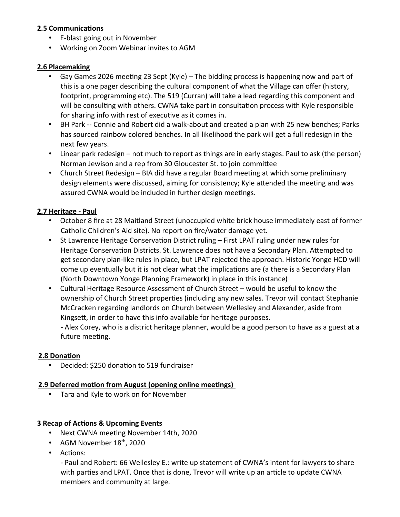#### **2.5 Communications**

- E-blast going out in November
- Working on Zoom Webinar invites to AGM

#### **2.6 Placemaking**

- Gay Games 2026 meetng 23 Sept (Kyle) The bidding process is happening now and part of this is a one pager describing the cultural component of what the Village can offer (history, footprint, programming etc). The 519 (Curran) will take a lead regarding this component and will be consulting with others. CWNA take part in consultation process with Kyle responsible for sharing info with rest of executive as it comes in.
- BH Park -- Connie and Robert did a walk-about and created a plan with 25 new benches; Parks has sourced rainbow colored benches. In all likelihood the park will get a full redesign in the next few years.
- Linear park redesign not much to report as things are in early stages. Paul to ask (the person) Norman Jewison and a rep from 30 Gloucester St. to join commitee
- Church Street Redesign BIA did have a regular Board meetng at which some preliminary design elements were discussed, aiming for consistency; Kyle attended the meeting and was assured CWNA would be included in further design meetings.

# **2.7 Heritage - Paul**

- October 8 fre at 28 Maitland Street (unoccupied white brick house immediately east of former Catholic Children's Aid site). No report on fre/water damage yet.
- St Lawrence Heritage Conservation District ruling First LPAT ruling under new rules for Heritage Conservation Districts. St. Lawrence does not have a Secondary Plan. Attempted to get secondary plan-like rules in place, but LPAT rejected the approach. Historic Yonge HCD will come up eventually but it is not clear what the implications are (a there is a Secondary Plan (North Downtown Yonge Planning Framework) in place in this instance)
- Cultural Heritage Resource Assessment of Church Street would be useful to know the ownership of Church Street propertes (including any new sales. Trevor will contact Stephanie McCracken regarding landlords on Church between Wellesley and Alexander, aside from Kingsett, in order to have this info available for heritage purposes.

- Alex Corey, who is a district heritage planner, would be a good person to have as a guest at a future meeting.

#### **2.8 Donaton**

• Decided: \$250 donaton to 519 fundraiser

#### **2.9 Deferred motion from August (opening online meetings)**

• Tara and Kyle to work on for November

# **3 Recap of Actions & Upcoming Events**

- Next CWNA meeting November 14th, 2020
- AGM November  $18<sup>th</sup>$ , 2020
- Actions:

- Paul and Robert: 66 Wellesley E.: write up statement of CWNA's intent for lawyers to share with parties and LPAT. Once that is done, Trevor will write up an article to update CWNA members and community at large.